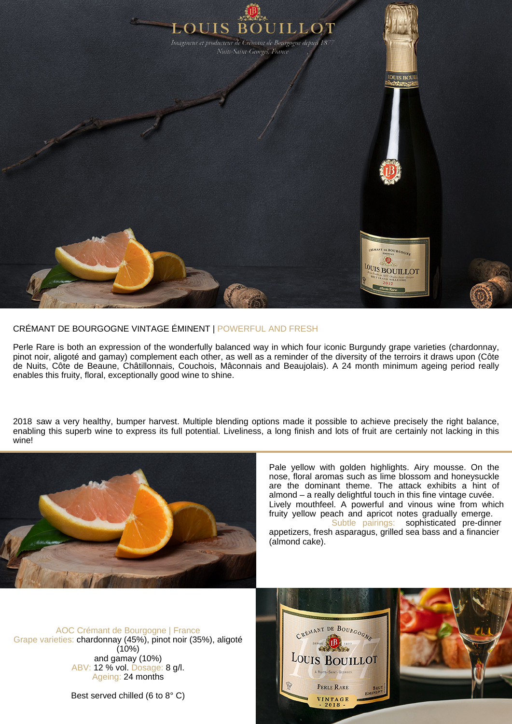

## CRÉMANT DE BOURGOGNE VINTAGE ÉMINENT | POWERFUL AND FRESH

Perle Rare is both an expression of the wonderfully balanced way in which four iconic Burgundy grape varieties (chardonnay, pinot noir, aligoté and gamay) complement each other, as well as a reminder of the diversity of the terroirs it draws upon (Côte de Nuits, Côte de Beaune, Châtillonnais, Couchois, Mâconnais and Beaujolais). A 24 month minimum ageing period really enables this fruity, floral, exceptionally good wine to shine.

2018 saw a very healthy, bumper harvest. Multiple blending options made it possible to achieve precisely the right balance, enabling this superb wine to express its full potential. Liveliness, a long finish and lots of fruit are certainly not lacking in this wine!



Pale yellow with golden highlights. Airy mousse. On the nose, floral aromas such as lime blossom and honeysuckle are the dominant theme. The attack exhibits a hint of almond – a really delightful touch in this fine vintage cuvée. Lively mouthfeel. A powerful and vinous wine from which fruity yellow peach and apricot notes gradually emerge. Subtle pairings: sophisticated pre-dinner appetizers, fresh asparagus, grilled sea bass and a financier (almond cake).

AOC Crémant de Bourgogne | France Grape varieties: chardonnay (45%), pinot noir (35%), aligoté  $(10%)$ and gamay (10%) ABV: 12 % vol. Dosage: 8 g/l. Ageing: 24 months

Best served chilled (6 to 8° C)